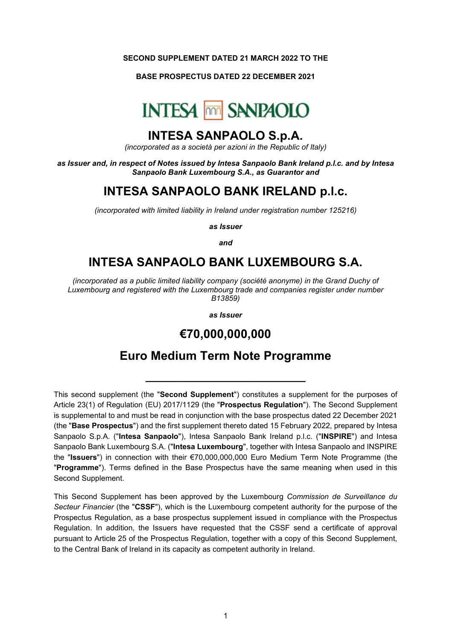#### **SECOND SUPPLEMENT DATED 21 MARCH 2022 TO THE**

#### **BASE PROSPECTUS DATED 22 DECEMBER 2021**



### **INTESA SANPAOLO S.p.A.**

*(incorporated as a società per azioni in the Republic of Italy)*

*as Issuer and, in respect of Notes issued by Intesa Sanpaolo Bank Ireland p.l.c. and by Intesa Sanpaolo Bank Luxembourg S.A., as Guarantor and*

# **INTESA SANPAOLO BANK IRELAND p.l.c.**

*(incorporated with limited liability in Ireland under registration number 125216)*

*as Issuer*

*and*

# **INTESA SANPAOLO BANK LUXEMBOURG S.A.**

*(incorporated as a public limited liability company (société anonyme) in the Grand Duchy of Luxembourg and registered with the Luxembourg trade and companies register under number B13859)*

*as Issuer*

### **€70,000,000,000**

# **Euro Medium Term Note Programme**

**\_\_\_\_\_\_\_\_\_\_\_\_\_\_\_\_\_\_\_\_\_\_\_\_\_\_\_**

This second supplement (the "**Second Supplement**") constitutes a supplement for the purposes of Article 23(1) of Regulation (EU) 2017/1129 (the "**Prospectus Regulation**"). The Second Supplement is supplemental to and must be read in conjunction with the base prospectus dated 22 December 2021 (the "**Base Prospectus**") and the first supplement thereto dated 15 February 2022, prepared by Intesa Sanpaolo S.p.A. ("**Intesa Sanpaolo**"), Intesa Sanpaolo Bank Ireland p.l.c. ("**INSPIRE**") and Intesa Sanpaolo Bank Luxembourg S.A. ("**Intesa Luxembourg**", together with Intesa Sanpaolo and INSPIRE the "**Issuers**") in connection with their €70,000,000,000 Euro Medium Term Note Programme (the "**Programme**"). Terms defined in the Base Prospectus have the same meaning when used in this Second Supplement.

This Second Supplement has been approved by the Luxembourg *Commission de Surveillance du Secteur Financier* (the "**CSSF**"), which is the Luxembourg competent authority for the purpose of the Prospectus Regulation, as a base prospectus supplement issued in compliance with the Prospectus Regulation. In addition, the Issuers have requested that the CSSF send a certificate of approval pursuant to Article 25 of the Prospectus Regulation, together with a copy of this Second Supplement, to the Central Bank of Ireland in its capacity as competent authority in Ireland.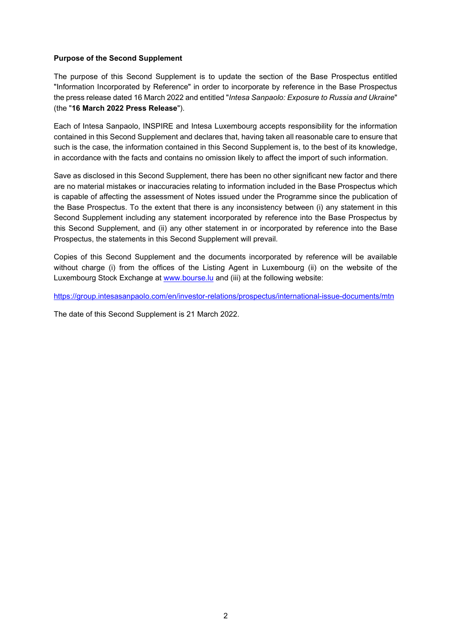### **Purpose of the Second Supplement**

The purpose of this Second Supplement is to update the section of the Base Prospectus entitled "Information Incorporated by Reference" in order to incorporate by reference in the Base Prospectus the press release dated 16 March 2022 and entitled "*Intesa Sanpaolo: Exposure to Russia and Ukraine*" (the "**16 March 2022 Press Release**").

Each of Intesa Sanpaolo, INSPIRE and Intesa Luxembourg accepts responsibility for the information contained in this Second Supplement and declares that, having taken all reasonable care to ensure that such is the case, the information contained in this Second Supplement is, to the best of its knowledge, in accordance with the facts and contains no omission likely to affect the import of such information.

Save as disclosed in this Second Supplement, there has been no other significant new factor and there are no material mistakes or inaccuracies relating to information included in the Base Prospectus which is capable of affecting the assessment of Notes issued under the Programme since the publication of the Base Prospectus. To the extent that there is any inconsistency between (i) any statement in this Second Supplement including any statement incorporated by reference into the Base Prospectus by this Second Supplement, and (ii) any other statement in or incorporated by reference into the Base Prospectus, the statements in this Second Supplement will prevail.

Copies of this Second Supplement and the documents incorporated by reference will be available without charge (i) from the offices of the Listing Agent in Luxembourg (ii) on the website of the Luxembourg Stock Exchange at [www.bourse.lu](http://www.bourse.lu/) and (iii) at the following website:

<https://group.intesasanpaolo.com/en/investor-relations/prospectus/international-issue-documents/mtn>

The date of this Second Supplement is 21 March 2022.